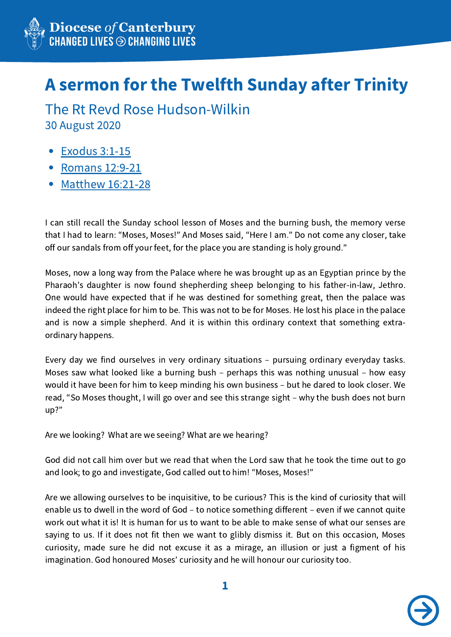

## A sermon for the Twelfth Sunday after Trinity

30 August 2020 The Rt Revd Rose Hudson-Wilkin

- [Exodus](http://bible.oremus.org/?passage=Exodus+3:1-15) 3:1-15
- [Romans](https://www.biblegateway.com/passage/?search=Romans+12%3A9-21&version=NRSV) 12:9-21
- [Matthew](https://www.biblegateway.com/passage/?search=Matthew+16%3A21-28&version=NRSV) 16:21-28

I can still recall the Sunday school lesson of Moses and the burning bush, the memory verse that I had to learn: "Moses, Moses!" And Moses said, "Here I am." Do not come any closer, take off our sandals from off your feet, for the place you are standing is holy ground."

Moses, now a long way from the Palace where he was brought up as an Egyptian prince by the Pharaoh's daughter is now found shepherding sheep belonging to his father-in-law, Jethro. One would have expected that if he was destined for something great, then the palace was indeed the right place for him to be. This was not to be for Moses. He lost his place in the palace and is now a simple shepherd. And it is within this ordinary context that something extraordinary happens.

Every day we find ourselves in very ordinary situations – pursuing ordinary everyday tasks. Moses saw what looked like a burning bush – perhaps this was nothing unusual – how easy would it have been for him to keep minding his own business – but he dared to look closer. We read, "So Moses thought, I will go over and see this strange sight – why the bush does not burn up?"

Are we looking? What are we seeing? What are we hearing?

God did not call him over but we read that when the Lord saw that he took the time out to go and look; to go and investigate, God called out to him! "Moses, Moses!"

Are we allowing ourselves to be inquisitive, to be curious? This is the kind of curiosity that will enable us to dwell in the word of God – to notice something different – even if we cannot quite work out what it is! It is human for us to want to be able to make sense of what our senses are saying to us. If it does not fit then we want to glibly dismiss it. But on this occasion, Moses curiosity, made sure he did not excuse it as a mirage, an illusion or just a figment of his imagination. God honoured Moses' curiosity and he will honour our curiosity too.

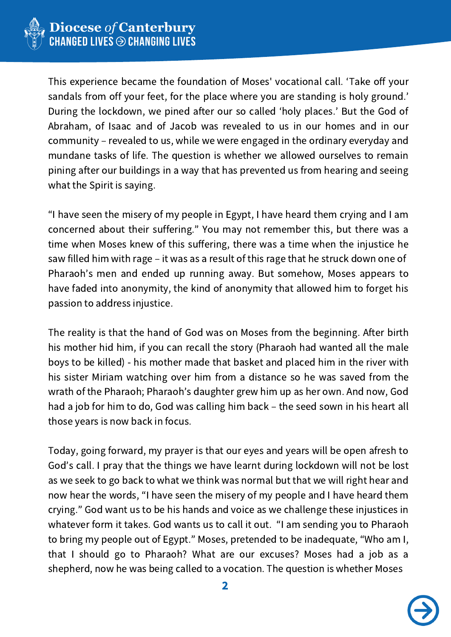

This experience became the foundation of Moses' vocational call. ʻTake off your sandals from off your feet, for the place where you are standing is holy ground.' During the lockdown, we pined after our so called ʻholy places.' But the God of Abraham, of Isaac and of Jacob was revealed to us in our homes and in our community – revealed to us, while we were engaged in the ordinary everyday and mundane tasks of life. The question is whether we allowed ourselves to remain pining after our buildings in a way that has prevented us from hearing and seeing what the Spirit is saying.

"I have seen the misery of my people in Egypt, I have heard them crying and I am concerned about their suffering." You may not remember this, but there was a time when Moses knew of this suffering, there was a time when the injustice he saw filled him with rage – it was as a result of this rage that he struck down one of Pharaoh's men and ended up running away. But somehow, Moses appears to have faded into anonymity, the kind of anonymity that allowed him to forget his passion to address injustice.

The reality is that the hand of God was on Moses from the beginning. After birth his mother hid him, if you can recall the story (Pharaoh had wanted all the male boys to be killed) - his mother made that basket and placed him in the river with his sister Miriam watching over him from a distance so he was saved from the wrath of the Pharaoh; Pharaoh's daughter grew him up as her own. And now, God had a job for him to do, God was calling him back – the seed sown in his heart all those years is now back in focus.

Today, going forward, my prayer is that our eyes and years will be open afresh to God's call. I pray that the things we have learnt during lockdown will not be lost as we seek to go back to what we think was normal but that we will right hear and now hear the words, "I have seen the misery of my people and I have heard them crying." God want us to be his hands and voice as we challenge these injustices in whatever form it takes. God wants us to call it out. "I am sending you to Pharaoh to bring my people out of Egypt." Moses, pretended to be inadequate, "Who am I, that I should go to Pharaoh? What are our excuses? Moses had a job as a shepherd, now he was being called to a vocation. The question is whether Moses